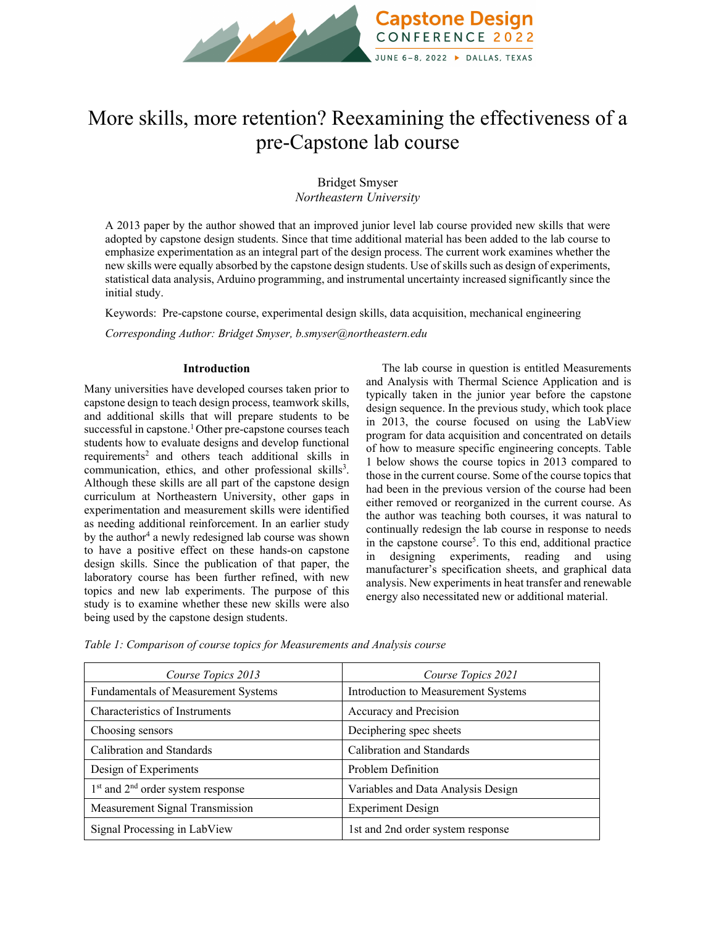

# More skills, more retention? Reexamining the effectiveness of a pre-Capstone lab course

Bridget Smyser *Northeastern University*

A 2013 paper by the author showed that an improved junior level lab course provided new skills that were adopted by capstone design students. Since that time additional material has been added to the lab course to emphasize experimentation as an integral part of the design process. The current work examines whether the new skills were equally absorbed by the capstone design students. Use of skills such as design of experiments, statistical data analysis, Arduino programming, and instrumental uncertainty increased significantly since the initial study.

Keywords:Pre-capstone course, experimental design skills, data acquisition, mechanical engineering

*Corresponding Author: Bridget Smyser, b.smyser@northeastern.edu*

#### **Introduction**

Many universities have developed courses taken prior to capstone design to teach design process, teamwork skills, and additional skills that will prepare students to be successful in capstone.<sup>1</sup> Other pre-capstone courses teach students how to evaluate designs and develop functional requirements<sup>2</sup> and others teach additional skills in communication, ethics, and other professional skills<sup>3</sup>. Although these skills are all part of the capstone design curriculum at Northeastern University, other gaps in experimentation and measurement skills were identified as needing additional reinforcement. In an earlier study by the author<sup>4</sup> a newly redesigned lab course was shown to have a positive effect on these hands-on capstone design skills. Since the publication of that paper, the laboratory course has been further refined, with new topics and new lab experiments. The purpose of this study is to examine whether these new skills were also being used by the capstone design students.

The lab course in question is entitled Measurements and Analysis with Thermal Science Application and is typically taken in the junior year before the capstone design sequence. In the previous study, which took place in 2013, the course focused on using the LabView program for data acquisition and concentrated on details of how to measure specific engineering concepts. Table 1 below shows the course topics in 2013 compared to those in the current course. Some of the course topics that had been in the previous version of the course had been either removed or reorganized in the current course. As the author was teaching both courses, it was natural to continually redesign the lab course in response to needs in the capstone course<sup>5</sup>. To this end, additional practice in designing experiments, reading and using manufacturer's specification sheets, and graphical data analysis. New experiments in heat transfer and renewable energy also necessitated new or additional material.

| Course Topics 2013                    | Course Topics 2021                  |  |
|---------------------------------------|-------------------------------------|--|
| Fundamentals of Measurement Systems   | Introduction to Measurement Systems |  |
| Characteristics of Instruments        | Accuracy and Precision              |  |
| Choosing sensors                      | Deciphering spec sheets             |  |
| Calibration and Standards             | Calibration and Standards           |  |
| Design of Experiments                 | Problem Definition                  |  |
| $1st$ and $2nd$ order system response | Variables and Data Analysis Design  |  |
| Measurement Signal Transmission       | <b>Experiment Design</b>            |  |
| Signal Processing in LabView          | 1st and 2nd order system response   |  |

*Table 1: Comparison of course topics for Measurements and Analysis course*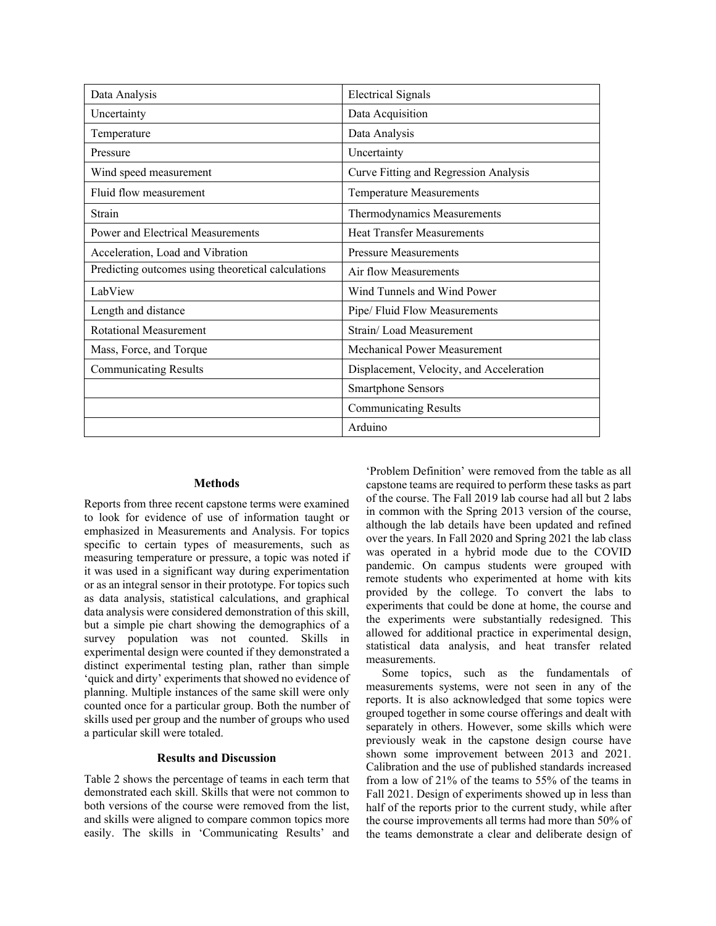| Data Analysis                                      | <b>Electrical Signals</b>                |  |  |
|----------------------------------------------------|------------------------------------------|--|--|
| Uncertainty                                        | Data Acquisition                         |  |  |
| Temperature                                        | Data Analysis                            |  |  |
| Pressure                                           | Uncertainty                              |  |  |
| Wind speed measurement                             | Curve Fitting and Regression Analysis    |  |  |
| Fluid flow measurement                             | <b>Temperature Measurements</b>          |  |  |
| Strain                                             | Thermodynamics Measurements              |  |  |
| Power and Electrical Measurements                  | <b>Heat Transfer Measurements</b>        |  |  |
| Acceleration, Load and Vibration                   | <b>Pressure Measurements</b>             |  |  |
| Predicting outcomes using theoretical calculations | Air flow Measurements                    |  |  |
| LabView                                            | Wind Tunnels and Wind Power              |  |  |
| Length and distance                                | Pipe/ Fluid Flow Measurements            |  |  |
| Rotational Measurement                             | Strain/Load Measurement                  |  |  |
| Mass, Force, and Torque                            | Mechanical Power Measurement             |  |  |
| <b>Communicating Results</b>                       | Displacement, Velocity, and Acceleration |  |  |
|                                                    | <b>Smartphone Sensors</b>                |  |  |
|                                                    | <b>Communicating Results</b>             |  |  |
|                                                    | Arduino                                  |  |  |

## **Methods**

Reports from three recent capstone terms were examined to look for evidence of use of information taught or emphasized in Measurements and Analysis. For topics specific to certain types of measurements, such as measuring temperature or pressure, a topic was noted if it was used in a significant way during experimentation or as an integral sensor in their prototype. For topics such as data analysis, statistical calculations, and graphical data analysis were considered demonstration of this skill, but a simple pie chart showing the demographics of a survey population was not counted. Skills in experimental design were counted if they demonstrated a distinct experimental testing plan, rather than simple 'quick and dirty' experiments that showed no evidence of planning. Multiple instances of the same skill were only counted once for a particular group. Both the number of skills used per group and the number of groups who used a particular skill were totaled.

## **Results and Discussion**

Table 2 shows the percentage of teams in each term that demonstrated each skill. Skills that were not common to both versions of the course were removed from the list, and skills were aligned to compare common topics more easily. The skills in 'Communicating Results' and 'Problem Definition' were removed from the table as all capstone teams are required to perform these tasks as part of the course. The Fall 2019 lab course had all but 2 labs in common with the Spring 2013 version of the course, although the lab details have been updated and refined over the years. In Fall 2020 and Spring 2021 the lab class was operated in a hybrid mode due to the COVID pandemic. On campus students were grouped with remote students who experimented at home with kits provided by the college. To convert the labs to experiments that could be done at home, the course and the experiments were substantially redesigned. This allowed for additional practice in experimental design, statistical data analysis, and heat transfer related measurements.

Some topics, such as the fundamentals of measurements systems, were not seen in any of the reports. It is also acknowledged that some topics were grouped together in some course offerings and dealt with separately in others. However, some skills which were previously weak in the capstone design course have shown some improvement between 2013 and 2021. Calibration and the use of published standards increased from a low of 21% of the teams to 55% of the teams in Fall 2021. Design of experiments showed up in less than half of the reports prior to the current study, while after the course improvements all terms had more than 50% of the teams demonstrate a clear and deliberate design of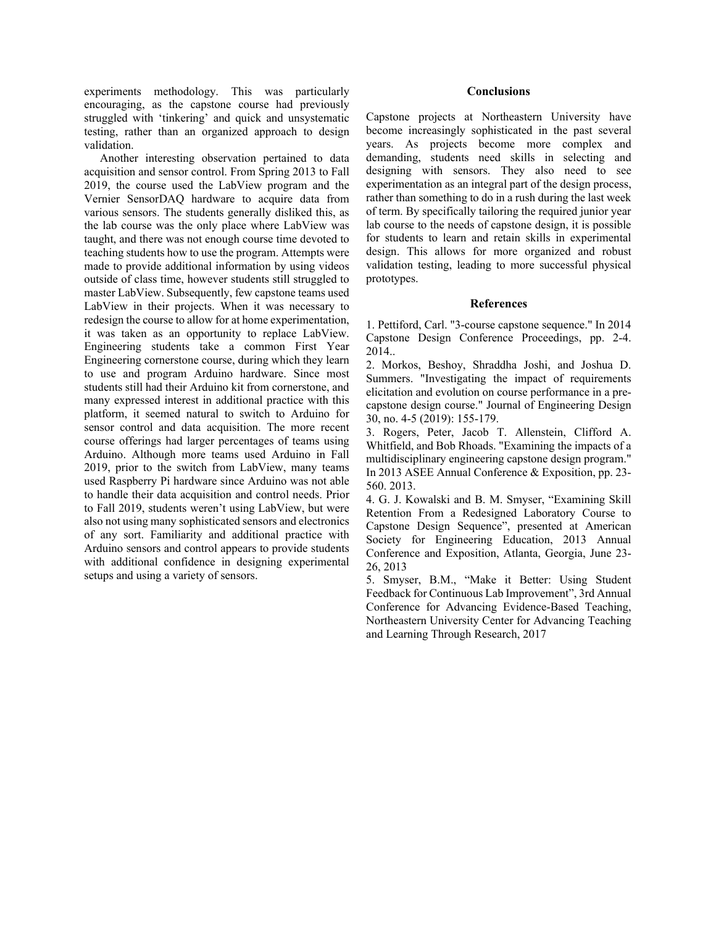experiments methodology. This was particularly encouraging, as the capstone course had previously struggled with 'tinkering' and quick and unsystematic testing, rather than an organized approach to design validation.

Another interesting observation pertained to data acquisition and sensor control. From Spring 2013 to Fall 2019, the course used the LabView program and the Vernier SensorDAQ hardware to acquire data from various sensors. The students generally disliked this, as the lab course was the only place where LabView was taught, and there was not enough course time devoted to teaching students how to use the program. Attempts were made to provide additional information by using videos outside of class time, however students still struggled to master LabView. Subsequently, few capstone teams used LabView in their projects. When it was necessary to redesign the course to allow for at home experimentation, it was taken as an opportunity to replace LabView. Engineering students take a common First Year Engineering cornerstone course, during which they learn to use and program Arduino hardware. Since most students still had their Arduino kit from cornerstone, and many expressed interest in additional practice with this platform, it seemed natural to switch to Arduino for sensor control and data acquisition. The more recent course offerings had larger percentages of teams using Arduino. Although more teams used Arduino in Fall 2019, prior to the switch from LabView, many teams used Raspberry Pi hardware since Arduino was not able to handle their data acquisition and control needs. Prior to Fall 2019, students weren't using LabView, but were also not using many sophisticated sensors and electronics of any sort. Familiarity and additional practice with Arduino sensors and control appears to provide students with additional confidence in designing experimental setups and using a variety of sensors.

#### **Conclusions**

Capstone projects at Northeastern University have become increasingly sophisticated in the past several years. As projects become more complex and demanding, students need skills in selecting and designing with sensors. They also need to see experimentation as an integral part of the design process, rather than something to do in a rush during the last week of term. By specifically tailoring the required junior year lab course to the needs of capstone design, it is possible for students to learn and retain skills in experimental design. This allows for more organized and robust validation testing, leading to more successful physical prototypes.

### **References**

1. Pettiford, Carl. "3-course capstone sequence." In 2014 Capstone Design Conference Proceedings, pp. 2-4. 2014..

2. Morkos, Beshoy, Shraddha Joshi, and Joshua D. Summers. "Investigating the impact of requirements elicitation and evolution on course performance in a precapstone design course." Journal of Engineering Design 30, no. 4-5 (2019): 155-179.

3. Rogers, Peter, Jacob T. Allenstein, Clifford A. Whitfield, and Bob Rhoads. "Examining the impacts of a multidisciplinary engineering capstone design program." In 2013 ASEE Annual Conference & Exposition, pp. 23- 560. 2013.

4. G. J. Kowalski and B. M. Smyser, "Examining Skill Retention From a Redesigned Laboratory Course to Capstone Design Sequence", presented at American Society for Engineering Education, 2013 Annual Conference and Exposition, Atlanta, Georgia, June 23- 26, 2013

5. Smyser, B.M., "Make it Better: Using Student Feedback for Continuous Lab Improvement", 3rd Annual Conference for Advancing Evidence-Based Teaching, Northeastern University Center for Advancing Teaching and Learning Through Research, 2017